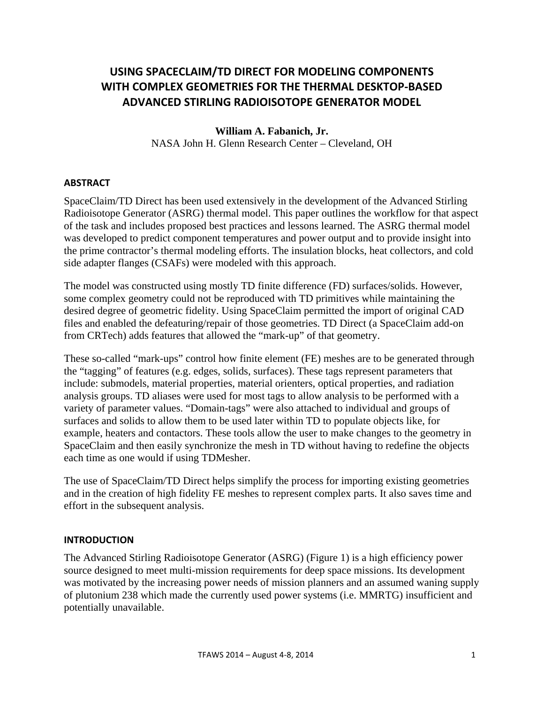# **USING SPACECLAIM/TD DIRECT FOR MODELING COMPONENTS WITH COMPLEX GEOMETRIES FOR THE THERMAL DESKTOP‐BASED ADVANCED STIRLING RADIOISOTOPE GENERATOR MODEL**

### **William A. Fabanich, Jr.**

NASA John H. Glenn Research Center – Cleveland, OH

#### **ABSTRACT**

SpaceClaim/TD Direct has been used extensively in the development of the Advanced Stirling Radioisotope Generator (ASRG) thermal model. This paper outlines the workflow for that aspect of the task and includes proposed best practices and lessons learned. The ASRG thermal model was developed to predict component temperatures and power output and to provide insight into the prime contractor's thermal modeling efforts. The insulation blocks, heat collectors, and cold side adapter flanges (CSAFs) were modeled with this approach.

The model was constructed using mostly TD finite difference (FD) surfaces/solids. However, some complex geometry could not be reproduced with TD primitives while maintaining the desired degree of geometric fidelity. Using SpaceClaim permitted the import of original CAD files and enabled the defeaturing/repair of those geometries. TD Direct (a SpaceClaim add-on from CRTech) adds features that allowed the "mark-up" of that geometry.

These so-called "mark-ups" control how finite element (FE) meshes are to be generated through the "tagging" of features (e.g. edges, solids, surfaces). These tags represent parameters that include: submodels, material properties, material orienters, optical properties, and radiation analysis groups. TD aliases were used for most tags to allow analysis to be performed with a variety of parameter values. "Domain-tags" were also attached to individual and groups of surfaces and solids to allow them to be used later within TD to populate objects like, for example, heaters and contactors. These tools allow the user to make changes to the geometry in SpaceClaim and then easily synchronize the mesh in TD without having to redefine the objects each time as one would if using TDMesher.

The use of SpaceClaim/TD Direct helps simplify the process for importing existing geometries and in the creation of high fidelity FE meshes to represent complex parts. It also saves time and effort in the subsequent analysis.

#### **INTRODUCTION**

The Advanced Stirling Radioisotope Generator (ASRG) (Figure 1) is a high efficiency power source designed to meet multi-mission requirements for deep space missions. Its development was motivated by the increasing power needs of mission planners and an assumed waning supply of plutonium 238 which made the currently used power systems (i.e. MMRTG) insufficient and potentially unavailable.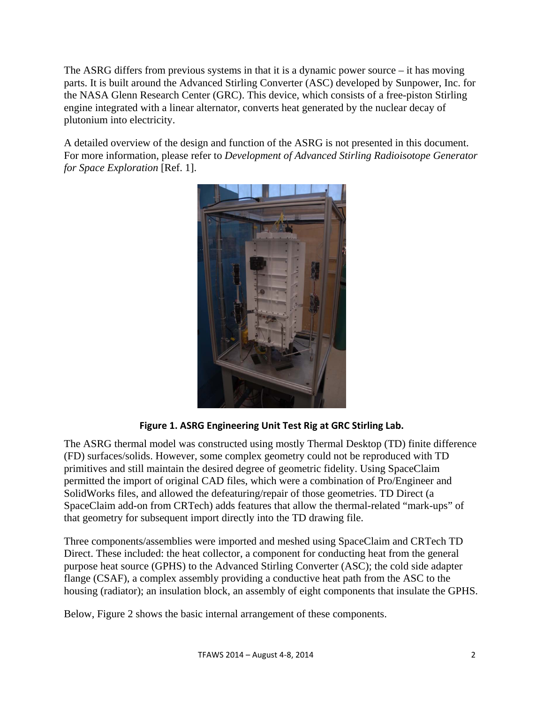The ASRG differs from previous systems in that it is a dynamic power source – it has moving parts. It is built around the Advanced Stirling Converter (ASC) developed by Sunpower, Inc. for the NASA Glenn Research Center (GRC). This device, which consists of a free-piston Stirling engine integrated with a linear alternator, converts heat generated by the nuclear decay of plutonium into electricity.

A detailed overview of the design and function of the ASRG is not presented in this document. For more information, please refer to *Development of Advanced Stirling Radioisotope Generator for Space Exploration* [Ref. 1].



**Figure 1. ASRG Engineering Unit Test Rig at GRC Stirling Lab.** 

The ASRG thermal model was constructed using mostly Thermal Desktop (TD) finite difference (FD) surfaces/solids. However, some complex geometry could not be reproduced with TD primitives and still maintain the desired degree of geometric fidelity. Using SpaceClaim permitted the import of original CAD files, which were a combination of Pro/Engineer and SolidWorks files, and allowed the defeaturing/repair of those geometries. TD Direct (a SpaceClaim add-on from CRTech) adds features that allow the thermal-related "mark-ups" of that geometry for subsequent import directly into the TD drawing file.

Three components/assemblies were imported and meshed using SpaceClaim and CRTech TD Direct. These included: the heat collector, a component for conducting heat from the general purpose heat source (GPHS) to the Advanced Stirling Converter (ASC); the cold side adapter flange (CSAF), a complex assembly providing a conductive heat path from the ASC to the housing (radiator); an insulation block, an assembly of eight components that insulate the GPHS.

Below, Figure 2 shows the basic internal arrangement of these components.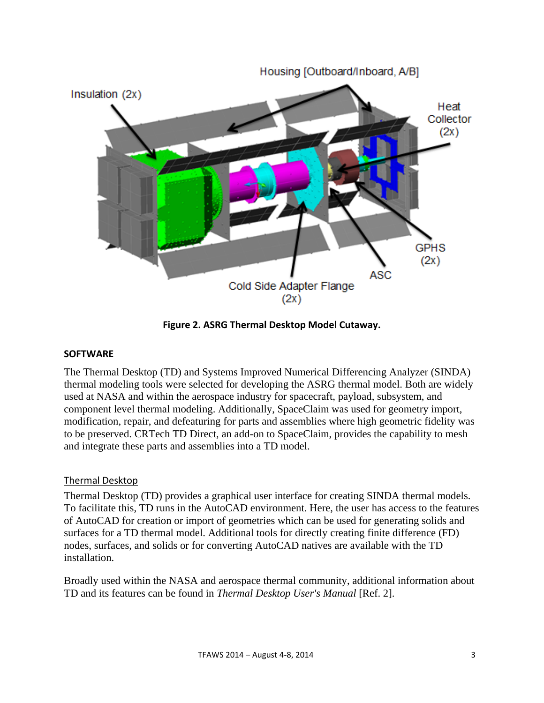

**Figure 2. ASRG Thermal Desktop Model Cutaway.**

#### **SOFTWARE**

The Thermal Desktop (TD) and Systems Improved Numerical Differencing Analyzer (SINDA) thermal modeling tools were selected for developing the ASRG thermal model. Both are widely used at NASA and within the aerospace industry for spacecraft, payload, subsystem, and component level thermal modeling. Additionally, SpaceClaim was used for geometry import, modification, repair, and defeaturing for parts and assemblies where high geometric fidelity was to be preserved. CRTech TD Direct, an add-on to SpaceClaim, provides the capability to mesh and integrate these parts and assemblies into a TD model.

### Thermal Desktop

Thermal Desktop (TD) provides a graphical user interface for creating SINDA thermal models. To facilitate this, TD runs in the AutoCAD environment. Here, the user has access to the features of AutoCAD for creation or import of geometries which can be used for generating solids and surfaces for a TD thermal model. Additional tools for directly creating finite difference (FD) nodes, surfaces, and solids or for converting AutoCAD natives are available with the TD installation.

Broadly used within the NASA and aerospace thermal community, additional information about TD and its features can be found in *Thermal Desktop User's Manual* [Ref. 2].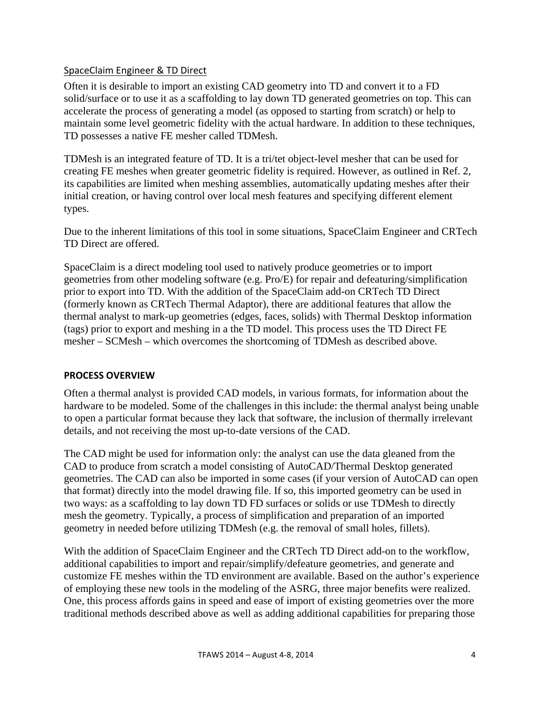### SpaceClaim Engineer & TD Direct

Often it is desirable to import an existing CAD geometry into TD and convert it to a FD solid/surface or to use it as a scaffolding to lay down TD generated geometries on top. This can accelerate the process of generating a model (as opposed to starting from scratch) or help to maintain some level geometric fidelity with the actual hardware. In addition to these techniques, TD possesses a native FE mesher called TDMesh.

TDMesh is an integrated feature of TD. It is a tri/tet object-level mesher that can be used for creating FE meshes when greater geometric fidelity is required. However, as outlined in Ref. 2, its capabilities are limited when meshing assemblies, automatically updating meshes after their initial creation, or having control over local mesh features and specifying different element types.

Due to the inherent limitations of this tool in some situations, SpaceClaim Engineer and CRTech TD Direct are offered.

SpaceClaim is a direct modeling tool used to natively produce geometries or to import geometries from other modeling software (e.g. Pro/E) for repair and defeaturing/simplification prior to export into TD. With the addition of the SpaceClaim add-on CRTech TD Direct (formerly known as CRTech Thermal Adaptor), there are additional features that allow the thermal analyst to mark-up geometries (edges, faces, solids) with Thermal Desktop information (tags) prior to export and meshing in a the TD model. This process uses the TD Direct FE mesher – SCMesh – which overcomes the shortcoming of TDMesh as described above.

#### **PROCESS OVERVIEW**

Often a thermal analyst is provided CAD models, in various formats, for information about the hardware to be modeled. Some of the challenges in this include: the thermal analyst being unable to open a particular format because they lack that software, the inclusion of thermally irrelevant details, and not receiving the most up-to-date versions of the CAD.

The CAD might be used for information only: the analyst can use the data gleaned from the CAD to produce from scratch a model consisting of AutoCAD/Thermal Desktop generated geometries. The CAD can also be imported in some cases (if your version of AutoCAD can open that format) directly into the model drawing file. If so, this imported geometry can be used in two ways: as a scaffolding to lay down TD FD surfaces or solids or use TDMesh to directly mesh the geometry. Typically, a process of simplification and preparation of an imported geometry in needed before utilizing TDMesh (e.g. the removal of small holes, fillets).

With the addition of SpaceClaim Engineer and the CRTech TD Direct add-on to the workflow, additional capabilities to import and repair/simplify/defeature geometries, and generate and customize FE meshes within the TD environment are available. Based on the author's experience of employing these new tools in the modeling of the ASRG, three major benefits were realized. One, this process affords gains in speed and ease of import of existing geometries over the more traditional methods described above as well as adding additional capabilities for preparing those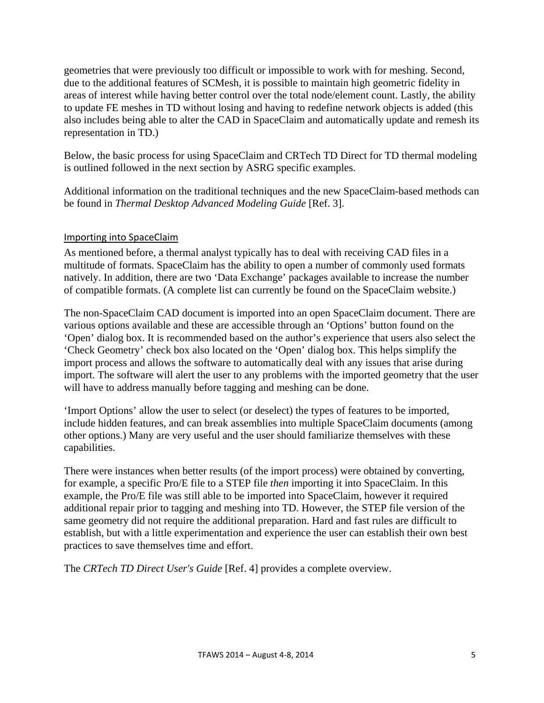geometries that were previously too difficult or impossible to work with for meshing. Second, due to the additional features of SCMesh, it is possible to maintain high geometric fidelity in areas of interest while having better control over the total node/element count. Lastly, the ability to update FE meshes in TD without losing and having to redefine network objects is added (this also includes being able to alter the CAD in SpaceClaim and automatically update and remesh its representation in TD.)

Below, the basic process for using SpaceClaim and CRTech TD Direct for TD thermal modeling is outlined followed in the next section by ASRG specific examples.

Additional information on the traditional techniques and the new SpaceClaim-based methods can be found in *Thermal Desktop Advanced Modeling Guide* [Ref. 3].

#### Importing into SpaceClaim

As mentioned before, a thermal analyst typically has to deal with receiving CAD files in a multitude of formats. SpaceClaim has the ability to open a number of commonly used formats natively. In addition, there are two 'Data Exchange' packages available to increase the number of compatible formats. (A complete list can currently be found on the SpaceClaim website.)

The non-SpaceClaim CAD document is imported into an open SpaceClaim document. There are various options available and these are accessible through an 'Options' button found on the 'Open' dialog box. It is recommended based on the author's experience that users also select the 'Check Geometry' check box also located on the 'Open' dialog box. This helps simplify the import process and allows the software to automatically deal with any issues that arise during import. The software will alert the user to any problems with the imported geometry that the user will have to address manually before tagging and meshing can be done.

'Import Options' allow the user to select (or deselect) the types of features to be imported, include hidden features, and can break assemblies into multiple SpaceClaim documents (among other options.) Many are very useful and the user should familiarize themselves with these capabilities.

There were instances when better results (of the import process) were obtained by converting, for example, a specific Pro/E file to a STEP file *then* importing it into SpaceClaim. In this example, the Pro/E file was still able to be imported into SpaceClaim, however it required additional repair prior to tagging and meshing into TD. However, the STEP file version of the same geometry did not require the additional preparation. Hard and fast rules are difficult to establish, but with a little experimentation and experience the user can establish their own best practices to save themselves time and effort.

The *CRTech TD Direct User's Guide* [Ref. 4] provides a complete overview.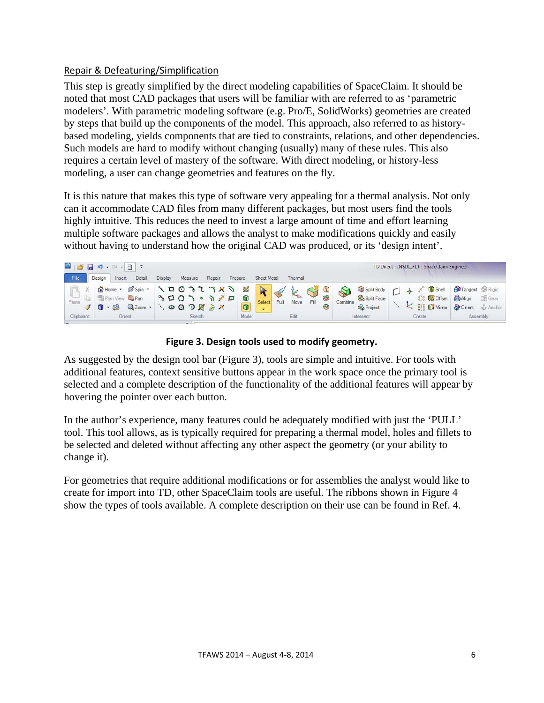## Repair & Defeaturing/Simplification

This step is greatly simplified by the direct modeling capabilities of SpaceClaim. It should be noted that most CAD packages that users will be familiar with are referred to as 'parametric modelers'. With parametric modeling software (e.g. Pro/E, SolidWorks) geometries are created by steps that build up the components of the model. This approach, also referred to as historybased modeling, yields components that are tied to constraints, relations, and other dependencies. Such models are hard to modify without changing (usually) many of these rules. This also requires a certain level of mastery of the software. With direct modeling, or history-less modeling, a user can change geometries and features on the fly.

It is this nature that makes this type of software very appealing for a thermal analysis. Not only can it accommodate CAD files from many different packages, but most users find the tools highly intuitive. This reduces the need to invest a large amount of time and effort learning multiple software packages and allows the analyst to make modifications quickly and easily without having to understand how the original CAD was produced, or its 'design intent'.

| 司房<br>$\begin{array}{ c c c c c } \hline \mathbf{C}^{\perp} & \mathbf{W} & \mathbf{W} & \mathbf{W} \end{array} \begin{array}{ c c c c c } \hline \mathbf{W} & \mathbf{W} & \mathbf{W} & \mathbf{W} \end{array}$<br><b>ACT</b><br>$\ddot{\phantom{1}}$ |                                                             |                               |         |        |         |           |                                     |  | TD Direct - INSUL_FLT - SpaceClaim Engineer |                            |      |           |      |           |                         |                                                |  |          |                                                                                    |                                                   |                            |
|-------------------------------------------------------------------------------------------------------------------------------------------------------------------------------------------------------------------------------------------------------|-------------------------------------------------------------|-------------------------------|---------|--------|---------|-----------|-------------------------------------|--|---------------------------------------------|----------------------------|------|-----------|------|-----------|-------------------------|------------------------------------------------|--|----------|------------------------------------------------------------------------------------|---------------------------------------------------|----------------------------|
| File                                                                                                                                                                                                                                                  | Design<br>Insert                                            | Detail                        | Display |        | Measure |           | Repair                              |  | Prepare                                     | <b>Sheet Metal</b>         |      | Thermal   |      |           |                         |                                                |  |          |                                                                                    |                                                   |                            |
| u<br>Paste                                                                                                                                                                                                                                            | Home -<br><b>E</b> Plan View <b>S</b> Pan<br>a<br><b>RG</b> | Spin -<br>Q <sub>2</sub> Zoom |         |        |         | $\bullet$ | $Z \cup Z \cup Z$<br>7 个田<br>OODARX |  | 図<br>团<br>$\bullet$                         | <b>Select</b><br>$\bullet$ | Pull | K<br>Move | Fill | S<br>☎    | $\mathbb{R}$<br>Combine | Split Body<br>Split Face<br><b>Cra</b> Project |  |          | Shell<br><b>G</b> Offset<br>$\frac{8}{30}$<br>$rac{888}{888}$ $\frac{1}{2}$ Mirror | Tangent SRigid<br><b>B</b> Align<br><b>Orient</b> | <b>El</b> Gear<br>& Anchor |
| Clipboard                                                                                                                                                                                                                                             | Orient                                                      |                               |         | Sketch |         |           |                                     |  | Mode                                        | Edit                       |      |           |      | Intersect |                         | Create                                         |  | Assembly |                                                                                    |                                                   |                            |

**Figure 3. Design tools used to modify geometry.** 

As suggested by the design tool bar (Figure 3), tools are simple and intuitive. For tools with additional features, context sensitive buttons appear in the work space once the primary tool is selected and a complete description of the functionality of the additional features will appear by hovering the pointer over each button.

In the author's experience, many features could be adequately modified with just the 'PULL' tool. This tool allows, as is typically required for preparing a thermal model, holes and fillets to be selected and deleted without affecting any other aspect the geometry (or your ability to change it).

For geometries that require additional modifications or for assemblies the analyst would like to create for import into TD, other SpaceClaim tools are useful. The ribbons shown in Figure 4 show the types of tools available. A complete description on their use can be found in Ref. 4.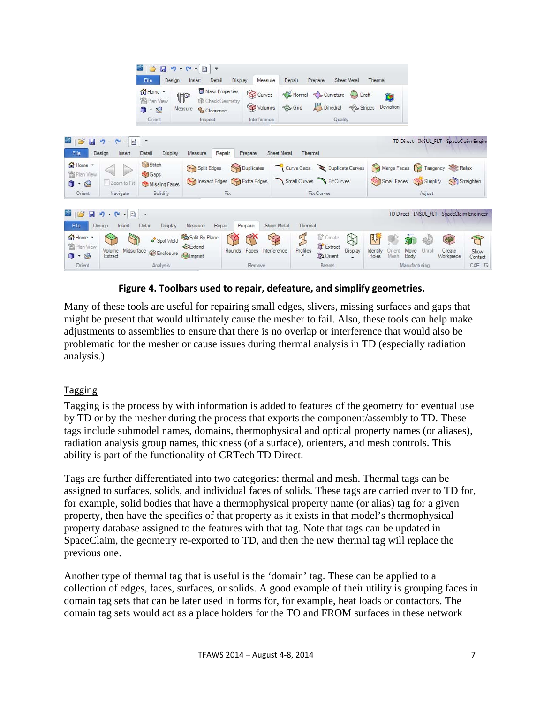|                                                                                   | 凤<br>B                                                                              | $17 - 11$<br>$\frac{1}{2}$<br>$\ddot{=}$                                             |                                          |                                                        |                                     |                                             |                                                      |                      |  |  |  |
|-----------------------------------------------------------------------------------|-------------------------------------------------------------------------------------|--------------------------------------------------------------------------------------|------------------------------------------|--------------------------------------------------------|-------------------------------------|---------------------------------------------|------------------------------------------------------|----------------------|--|--|--|
|                                                                                   | File<br>Design                                                                      | Detail<br>Insert                                                                     | Measure<br>Display                       | Repair<br>Prepare                                      | Sheet Metal<br>Thermal              |                                             |                                                      |                      |  |  |  |
|                                                                                   | Home -<br><b>雷Plan View</b><br>$\mathbf{D}$ + $\mathbf{D}$<br>Orient                | Mass Properties<br>$\mathbb{P}$<br>Check Geometry<br>Measure<br>Clearance<br>Inspect | Curves<br><b>Volumes</b><br>Interference | Normal Survature<br>Dihedral<br><b>RA</b> Grid         | Draft<br>$\leq$ Stripes<br>Quality  | ſ.<br>Deviation                             |                                                      |                      |  |  |  |
| 彦<br>ы<br>$\mathbf{F}$<br>$\star$                                                 | $\mathbf{C}$<br>$\frac{1}{2}$<br>$\bar{\star}$<br>$\star$                           |                                                                                      |                                          |                                                        |                                     | TD Direct - INSUL FLT - SpaceClaim Engine   |                                                      |                      |  |  |  |
| File<br>Design                                                                    | Detail<br><b>Display</b><br>Insert                                                  | Repair<br>Measure                                                                    | Prepare                                  | <b>Sheet Metal</b><br>Thermal                          |                                     |                                             |                                                      |                      |  |  |  |
| Home -<br>需Plan View<br>0.3                                                       | Stitch<br>Gaps<br>Zoom to Fit<br>Missing Faces                                      | Split Edges<br>Inexact Edges                                                         | Duplicates<br>Extra Edges                | Curve Gaps Curves<br>Small Curves Fit Curves           |                                     | Small Faces                                 | Merge Faces Tangency Relax<br>Simplify<br>Straighten |                      |  |  |  |
| Orient                                                                            | Solidify<br>Navigate                                                                | Fix                                                                                  |                                          | <b>Fix Curves</b>                                      |                                     | Adjust                                      |                                                      |                      |  |  |  |
| $\mathbb{B}$<br>$\blacksquare$<br>$\mathbf{r}$<br>File<br>Design                  | 目<br>$ \left( -1 \right)$<br>$\overline{\mathbf{v}}$<br>Detail<br>Display<br>Insert | Repair<br>Measure                                                                    | Sheet Metal<br>Prepare                   | Thermal                                                |                                     | TD Direct - INSUL FLT - SpaceClaim Engineer |                                                      |                      |  |  |  |
| Home -<br><b>雷Plan View</b><br>Volume<br>$\mathbf{0} \cdot \mathbf{C}$<br>Extract | o <sup>*</sup> Spot Weld<br>Midsurface<br><b>B</b> Enclosure                        | Split By Plane<br>S Extend<br>Rounds<br>SImprint                                     | Faces<br>Interference                    | Í<br>Create<br>Extract<br>Profiles<br><b>Co</b> Orient | Display<br><b>Identify</b><br>Holes | Move<br>Unroll<br>Orient<br>Mesh<br>Body    | Create<br>Workpiece                                  | G<br>Show<br>Contact |  |  |  |
| Orient                                                                            | Analysis                                                                            |                                                                                      | Remove                                   | Beams                                                  |                                     | Manufacturing                               |                                                      | CAE IS               |  |  |  |

**Figure 4. Toolbars used to repair, defeature, and simplify geometries.**

Many of these tools are useful for repairing small edges, slivers, missing surfaces and gaps that might be present that would ultimately cause the mesher to fail. Also, these tools can help make adjustments to assemblies to ensure that there is no overlap or interference that would also be problematic for the mesher or cause issues during thermal analysis in TD (especially radiation analysis.)

# Tagging

Tagging is the process by with information is added to features of the geometry for eventual use by TD or by the mesher during the process that exports the component/assembly to TD. These tags include submodel names, domains, thermophysical and optical property names (or aliases), radiation analysis group names, thickness (of a surface), orienters, and mesh controls. This ability is part of the functionality of CRTech TD Direct.

Tags are further differentiated into two categories: thermal and mesh. Thermal tags can be assigned to surfaces, solids, and individual faces of solids. These tags are carried over to TD for, for example, solid bodies that have a thermophysical property name (or alias) tag for a given property, then have the specifics of that property as it exists in that model's thermophysical property database assigned to the features with that tag. Note that tags can be updated in SpaceClaim, the geometry re-exported to TD, and then the new thermal tag will replace the previous one.

Another type of thermal tag that is useful is the 'domain' tag. These can be applied to a collection of edges, faces, surfaces, or solids. A good example of their utility is grouping faces in domain tag sets that can be later used in forms for, for example, heat loads or contactors. The domain tag sets would act as a place holders for the TO and FROM surfaces in these network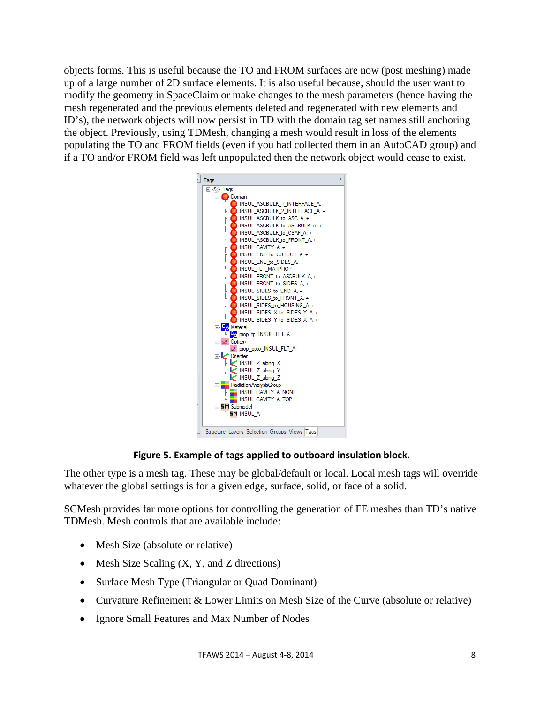objects forms. This is useful because the TO and FROM surfaces are now (post meshing) made up of a large number of 2D surface elements. It is also useful because, should the user want to modify the geometry in SpaceClaim or make changes to the mesh parameters (hence having the mesh regenerated and the previous elements deleted and regenerated with new elements and ID's), the network objects will now persist in TD with the domain tag set names still anchoring the object. Previously, using TDMesh, changing a mesh would result in loss of the elements populating the TO and FROM fields (even if you had collected them in an AutoCAD group) and if a TO and/or FROM field was left unpopulated then the network object would cease to exist.



### **Figure 5. Example of tags applied to outboard insulation block.**

The other type is a mesh tag. These may be global/default or local. Local mesh tags will override whatever the global settings is for a given edge, surface, solid, or face of a solid.

SCMesh provides far more options for controlling the generation of FE meshes than TD's native TDMesh. Mesh controls that are available include:

- Mesh Size (absolute or relative)
- Mesh Size Scaling  $(X, Y, and Z$  directions)
- Surface Mesh Type (Triangular or Ouad Dominant)
- Curvature Refinement & Lower Limits on Mesh Size of the Curve (absolute or relative)
- Ignore Small Features and Max Number of Nodes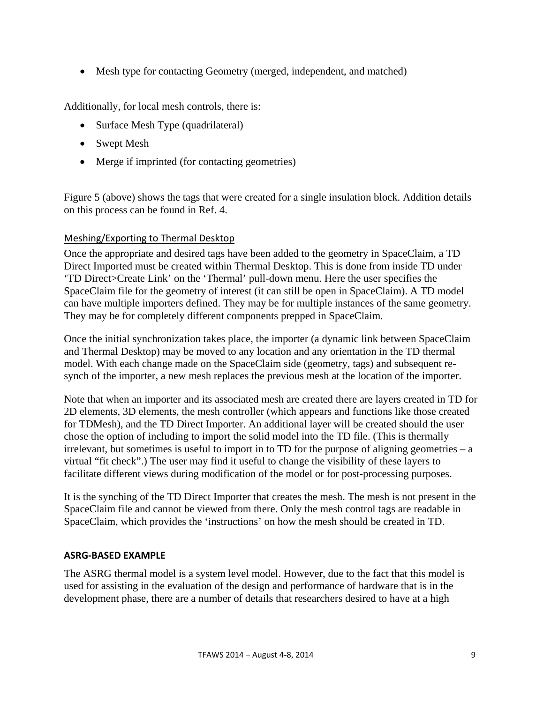• Mesh type for contacting Geometry (merged, independent, and matched)

Additionally, for local mesh controls, there is:

- Surface Mesh Type (quadrilateral)
- Swept Mesh
- Merge if imprinted (for contacting geometries)

Figure 5 (above) shows the tags that were created for a single insulation block. Addition details on this process can be found in Ref. 4.

### Meshing/Exporting to Thermal Desktop

Once the appropriate and desired tags have been added to the geometry in SpaceClaim, a TD Direct Imported must be created within Thermal Desktop. This is done from inside TD under 'TD Direct>Create Link' on the 'Thermal' pull-down menu. Here the user specifies the SpaceClaim file for the geometry of interest (it can still be open in SpaceClaim). A TD model can have multiple importers defined. They may be for multiple instances of the same geometry. They may be for completely different components prepped in SpaceClaim.

Once the initial synchronization takes place, the importer (a dynamic link between SpaceClaim and Thermal Desktop) may be moved to any location and any orientation in the TD thermal model. With each change made on the SpaceClaim side (geometry, tags) and subsequent resynch of the importer, a new mesh replaces the previous mesh at the location of the importer.

Note that when an importer and its associated mesh are created there are layers created in TD for 2D elements, 3D elements, the mesh controller (which appears and functions like those created for TDMesh), and the TD Direct Importer. An additional layer will be created should the user chose the option of including to import the solid model into the TD file. (This is thermally irrelevant, but sometimes is useful to import in to TD for the purpose of aligning geometries – a virtual "fit check".) The user may find it useful to change the visibility of these layers to facilitate different views during modification of the model or for post-processing purposes.

It is the synching of the TD Direct Importer that creates the mesh. The mesh is not present in the SpaceClaim file and cannot be viewed from there. Only the mesh control tags are readable in SpaceClaim, which provides the 'instructions' on how the mesh should be created in TD.

#### **ASRG‐BASED EXAMPLE**

The ASRG thermal model is a system level model. However, due to the fact that this model is used for assisting in the evaluation of the design and performance of hardware that is in the development phase, there are a number of details that researchers desired to have at a high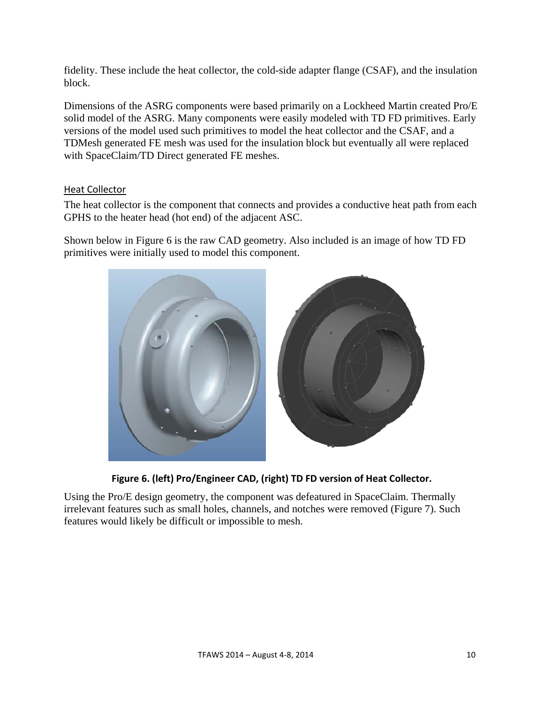fidelity. These include the heat collector, the cold-side adapter flange (CSAF), and the insulation block.

Dimensions of the ASRG components were based primarily on a Lockheed Martin created Pro/E solid model of the ASRG. Many components were easily modeled with TD FD primitives. Early versions of the model used such primitives to model the heat collector and the CSAF, and a TDMesh generated FE mesh was used for the insulation block but eventually all were replaced with SpaceClaim/TD Direct generated FE meshes.

#### Heat Collector

The heat collector is the component that connects and provides a conductive heat path from each GPHS to the heater head (hot end) of the adjacent ASC.

Shown below in Figure 6 is the raw CAD geometry. Also included is an image of how TD FD primitives were initially used to model this component.





Using the Pro/E design geometry, the component was defeatured in SpaceClaim. Thermally irrelevant features such as small holes, channels, and notches were removed (Figure 7). Such features would likely be difficult or impossible to mesh.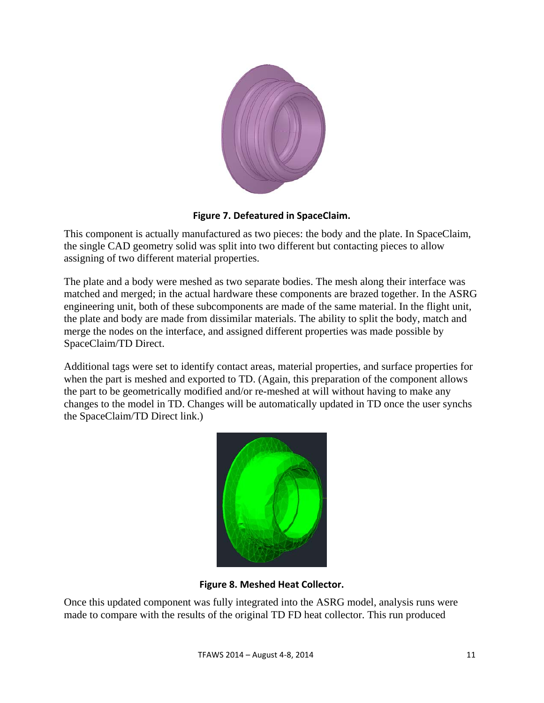

**Figure 7. Defeatured in SpaceClaim.**

This component is actually manufactured as two pieces: the body and the plate. In SpaceClaim, the single CAD geometry solid was split into two different but contacting pieces to allow assigning of two different material properties.

The plate and a body were meshed as two separate bodies. The mesh along their interface was matched and merged; in the actual hardware these components are brazed together. In the ASRG engineering unit, both of these subcomponents are made of the same material. In the flight unit, the plate and body are made from dissimilar materials. The ability to split the body, match and merge the nodes on the interface, and assigned different properties was made possible by SpaceClaim/TD Direct.

Additional tags were set to identify contact areas, material properties, and surface properties for when the part is meshed and exported to TD. (Again, this preparation of the component allows the part to be geometrically modified and/or re-meshed at will without having to make any changes to the model in TD. Changes will be automatically updated in TD once the user synchs the SpaceClaim/TD Direct link.)



**Figure 8. Meshed Heat Collector.**

Once this updated component was fully integrated into the ASRG model, analysis runs were made to compare with the results of the original TD FD heat collector. This run produced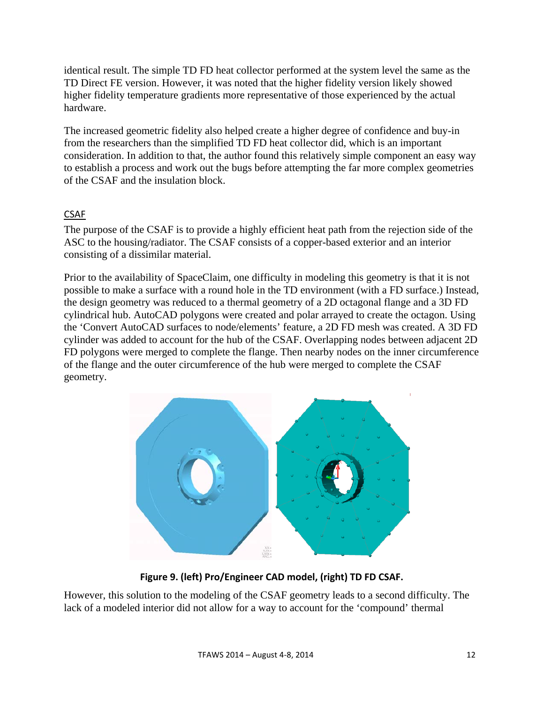identical result. The simple TD FD heat collector performed at the system level the same as the TD Direct FE version. However, it was noted that the higher fidelity version likely showed higher fidelity temperature gradients more representative of those experienced by the actual hardware.

The increased geometric fidelity also helped create a higher degree of confidence and buy-in from the researchers than the simplified TD FD heat collector did, which is an important consideration. In addition to that, the author found this relatively simple component an easy way to establish a process and work out the bugs before attempting the far more complex geometries of the CSAF and the insulation block.

# CSAF

The purpose of the CSAF is to provide a highly efficient heat path from the rejection side of the ASC to the housing/radiator. The CSAF consists of a copper-based exterior and an interior consisting of a dissimilar material.

Prior to the availability of SpaceClaim, one difficulty in modeling this geometry is that it is not possible to make a surface with a round hole in the TD environment (with a FD surface.) Instead, the design geometry was reduced to a thermal geometry of a 2D octagonal flange and a 3D FD cylindrical hub. AutoCAD polygons were created and polar arrayed to create the octagon. Using the 'Convert AutoCAD surfaces to node/elements' feature, a 2D FD mesh was created. A 3D FD cylinder was added to account for the hub of the CSAF. Overlapping nodes between adjacent 2D FD polygons were merged to complete the flange. Then nearby nodes on the inner circumference of the flange and the outer circumference of the hub were merged to complete the CSAF geometry.



**Figure 9. (left) Pro/Engineer CAD model, (right) TD FD CSAF.**

However, this solution to the modeling of the CSAF geometry leads to a second difficulty. The lack of a modeled interior did not allow for a way to account for the 'compound' thermal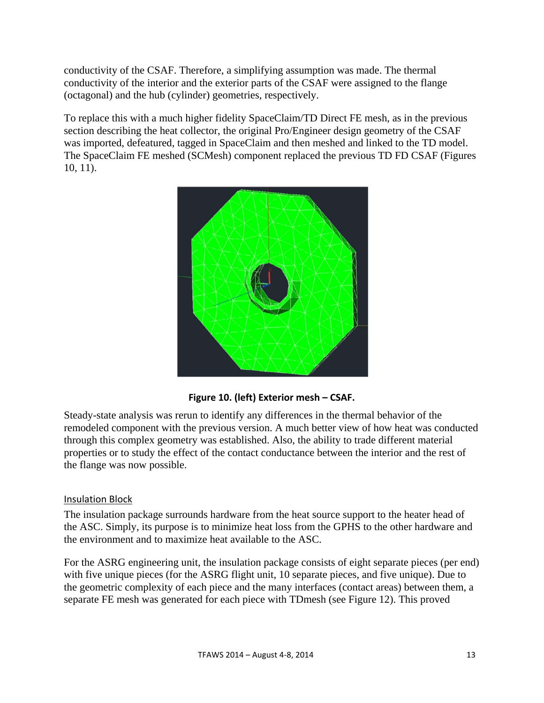conductivity of the CSAF. Therefore, a simplifying assumption was made. The thermal conductivity of the interior and the exterior parts of the CSAF were assigned to the flange (octagonal) and the hub (cylinder) geometries, respectively.

To replace this with a much higher fidelity SpaceClaim/TD Direct FE mesh, as in the previous section describing the heat collector, the original Pro/Engineer design geometry of the CSAF was imported, defeatured, tagged in SpaceClaim and then meshed and linked to the TD model. The SpaceClaim FE meshed (SCMesh) component replaced the previous TD FD CSAF (Figures 10, 11).



**Figure 10. (left) Exterior mesh – CSAF.**

Steady-state analysis was rerun to identify any differences in the thermal behavior of the remodeled component with the previous version. A much better view of how heat was conducted through this complex geometry was established. Also, the ability to trade different material properties or to study the effect of the contact conductance between the interior and the rest of the flange was now possible.

### Insulation Block

The insulation package surrounds hardware from the heat source support to the heater head of the ASC. Simply, its purpose is to minimize heat loss from the GPHS to the other hardware and the environment and to maximize heat available to the ASC.

For the ASRG engineering unit, the insulation package consists of eight separate pieces (per end) with five unique pieces (for the ASRG flight unit, 10 separate pieces, and five unique). Due to the geometric complexity of each piece and the many interfaces (contact areas) between them, a separate FE mesh was generated for each piece with TDmesh (see Figure 12). This proved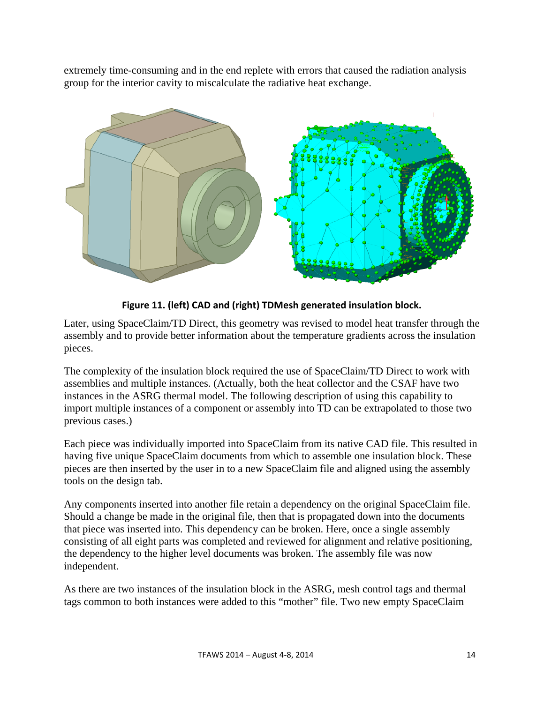extremely time-consuming and in the end replete with errors that caused the radiation analysis group for the interior cavity to miscalculate the radiative heat exchange.



**Figure 11. (left) CAD and (right) TDMesh generated insulation block.**

Later, using SpaceClaim/TD Direct, this geometry was revised to model heat transfer through the assembly and to provide better information about the temperature gradients across the insulation pieces.

The complexity of the insulation block required the use of SpaceClaim/TD Direct to work with assemblies and multiple instances. (Actually, both the heat collector and the CSAF have two instances in the ASRG thermal model. The following description of using this capability to import multiple instances of a component or assembly into TD can be extrapolated to those two previous cases.)

Each piece was individually imported into SpaceClaim from its native CAD file. This resulted in having five unique SpaceClaim documents from which to assemble one insulation block. These pieces are then inserted by the user in to a new SpaceClaim file and aligned using the assembly tools on the design tab.

Any components inserted into another file retain a dependency on the original SpaceClaim file. Should a change be made in the original file, then that is propagated down into the documents that piece was inserted into. This dependency can be broken. Here, once a single assembly consisting of all eight parts was completed and reviewed for alignment and relative positioning, the dependency to the higher level documents was broken. The assembly file was now independent.

As there are two instances of the insulation block in the ASRG, mesh control tags and thermal tags common to both instances were added to this "mother" file. Two new empty SpaceClaim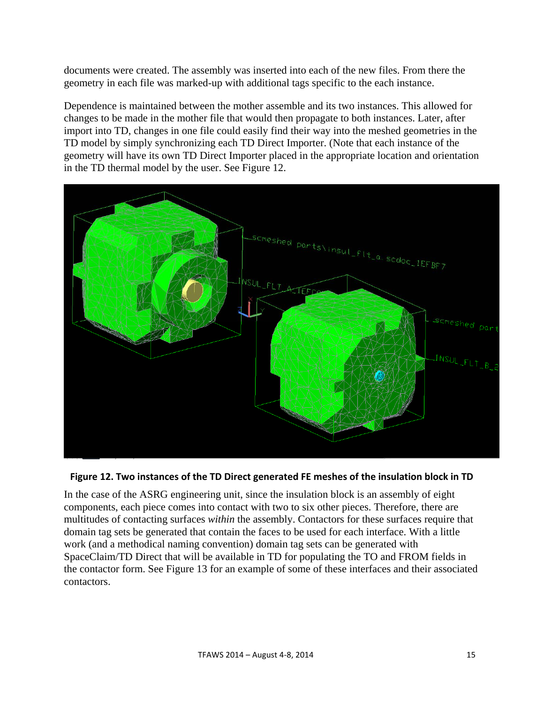documents were created. The assembly was inserted into each of the new files. From there the geometry in each file was marked-up with additional tags specific to the each instance.

Dependence is maintained between the mother assemble and its two instances. This allowed for changes to be made in the mother file that would then propagate to both instances. Later, after import into TD, changes in one file could easily find their way into the meshed geometries in the TD model by simply synchronizing each TD Direct Importer. (Note that each instance of the geometry will have its own TD Direct Importer placed in the appropriate location and orientation in the TD thermal model by the user. See Figure 12.



### **Figure 12. Two instances of the TD Direct generated FE meshes of the insulation block in TD**

In the case of the ASRG engineering unit, since the insulation block is an assembly of eight components, each piece comes into contact with two to six other pieces. Therefore, there are multitudes of contacting surfaces *within* the assembly. Contactors for these surfaces require that domain tag sets be generated that contain the faces to be used for each interface. With a little work (and a methodical naming convention) domain tag sets can be generated with SpaceClaim/TD Direct that will be available in TD for populating the TO and FROM fields in the contactor form. See Figure 13 for an example of some of these interfaces and their associated contactors.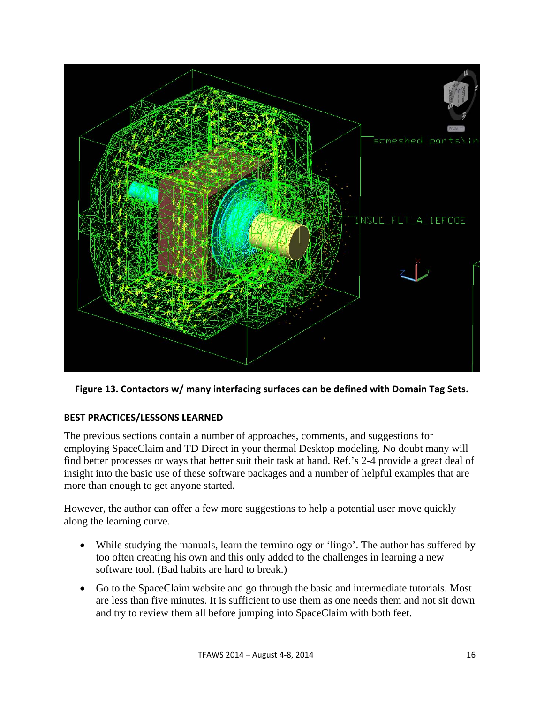

**Figure 13. Contactors w/ many interfacing surfaces can be defined with Domain Tag Sets.**

### **BEST PRACTICES/LESSONS LEARNED**

The previous sections contain a number of approaches, comments, and suggestions for employing SpaceClaim and TD Direct in your thermal Desktop modeling. No doubt many will find better processes or ways that better suit their task at hand. Ref.'s 2-4 provide a great deal of insight into the basic use of these software packages and a number of helpful examples that are more than enough to get anyone started.

However, the author can offer a few more suggestions to help a potential user move quickly along the learning curve.

- While studying the manuals, learn the terminology or 'lingo'. The author has suffered by too often creating his own and this only added to the challenges in learning a new software tool. (Bad habits are hard to break.)
- Go to the SpaceClaim website and go through the basic and intermediate tutorials. Most are less than five minutes. It is sufficient to use them as one needs them and not sit down and try to review them all before jumping into SpaceClaim with both feet.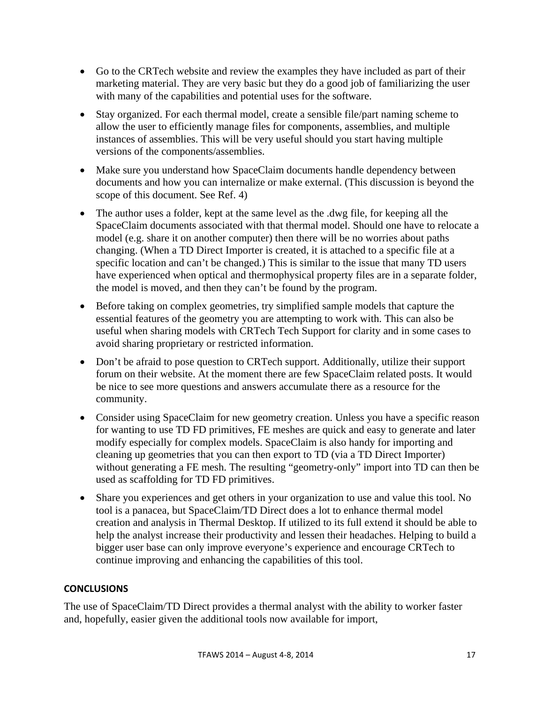- Go to the CRTech website and review the examples they have included as part of their marketing material. They are very basic but they do a good job of familiarizing the user with many of the capabilities and potential uses for the software.
- Stay organized. For each thermal model, create a sensible file/part naming scheme to allow the user to efficiently manage files for components, assemblies, and multiple instances of assemblies. This will be very useful should you start having multiple versions of the components/assemblies.
- Make sure you understand how SpaceClaim documents handle dependency between documents and how you can internalize or make external. (This discussion is beyond the scope of this document. See Ref. 4)
- The author uses a folder, kept at the same level as the .dwg file, for keeping all the SpaceClaim documents associated with that thermal model. Should one have to relocate a model (e.g. share it on another computer) then there will be no worries about paths changing. (When a TD Direct Importer is created, it is attached to a specific file at a specific location and can't be changed.) This is similar to the issue that many TD users have experienced when optical and thermophysical property files are in a separate folder, the model is moved, and then they can't be found by the program.
- Before taking on complex geometries, try simplified sample models that capture the essential features of the geometry you are attempting to work with. This can also be useful when sharing models with CRTech Tech Support for clarity and in some cases to avoid sharing proprietary or restricted information.
- Don't be afraid to pose question to CRTech support. Additionally, utilize their support forum on their website. At the moment there are few SpaceClaim related posts. It would be nice to see more questions and answers accumulate there as a resource for the community.
- Consider using SpaceClaim for new geometry creation. Unless you have a specific reason for wanting to use TD FD primitives, FE meshes are quick and easy to generate and later modify especially for complex models. SpaceClaim is also handy for importing and cleaning up geometries that you can then export to TD (via a TD Direct Importer) without generating a FE mesh. The resulting "geometry-only" import into TD can then be used as scaffolding for TD FD primitives.
- Share you experiences and get others in your organization to use and value this tool. No tool is a panacea, but SpaceClaim/TD Direct does a lot to enhance thermal model creation and analysis in Thermal Desktop. If utilized to its full extend it should be able to help the analyst increase their productivity and lessen their headaches. Helping to build a bigger user base can only improve everyone's experience and encourage CRTech to continue improving and enhancing the capabilities of this tool.

### **CONCLUSIONS**

The use of SpaceClaim/TD Direct provides a thermal analyst with the ability to worker faster and, hopefully, easier given the additional tools now available for import,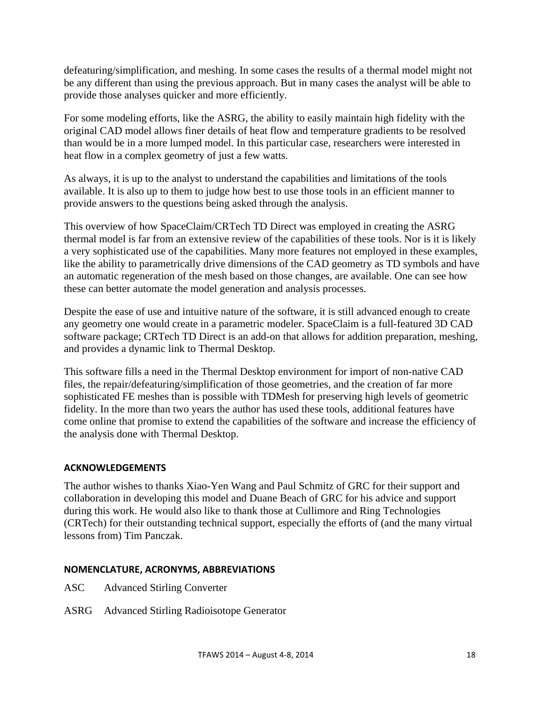defeaturing/simplification, and meshing. In some cases the results of a thermal model might not be any different than using the previous approach. But in many cases the analyst will be able to provide those analyses quicker and more efficiently.

For some modeling efforts, like the ASRG, the ability to easily maintain high fidelity with the original CAD model allows finer details of heat flow and temperature gradients to be resolved than would be in a more lumped model. In this particular case, researchers were interested in heat flow in a complex geometry of just a few watts.

As always, it is up to the analyst to understand the capabilities and limitations of the tools available. It is also up to them to judge how best to use those tools in an efficient manner to provide answers to the questions being asked through the analysis.

This overview of how SpaceClaim/CRTech TD Direct was employed in creating the ASRG thermal model is far from an extensive review of the capabilities of these tools. Nor is it is likely a very sophisticated use of the capabilities. Many more features not employed in these examples, like the ability to parametrically drive dimensions of the CAD geometry as TD symbols and have an automatic regeneration of the mesh based on those changes, are available. One can see how these can better automate the model generation and analysis processes.

Despite the ease of use and intuitive nature of the software, it is still advanced enough to create any geometry one would create in a parametric modeler. SpaceClaim is a full-featured 3D CAD software package; CRTech TD Direct is an add-on that allows for addition preparation, meshing, and provides a dynamic link to Thermal Desktop.

This software fills a need in the Thermal Desktop environment for import of non-native CAD files, the repair/defeaturing/simplification of those geometries, and the creation of far more sophisticated FE meshes than is possible with TDMesh for preserving high levels of geometric fidelity. In the more than two years the author has used these tools, additional features have come online that promise to extend the capabilities of the software and increase the efficiency of the analysis done with Thermal Desktop.

### **ACKNOWLEDGEMENTS**

The author wishes to thanks Xiao-Yen Wang and Paul Schmitz of GRC for their support and collaboration in developing this model and Duane Beach of GRC for his advice and support during this work. He would also like to thank those at Cullimore and Ring Technologies (CRTech) for their outstanding technical support, especially the efforts of (and the many virtual lessons from) Tim Panczak.

#### **NOMENCLATURE, ACRONYMS, ABBREVIATIONS**

- ASC Advanced Stirling Converter
- ASRG Advanced Stirling Radioisotope Generator